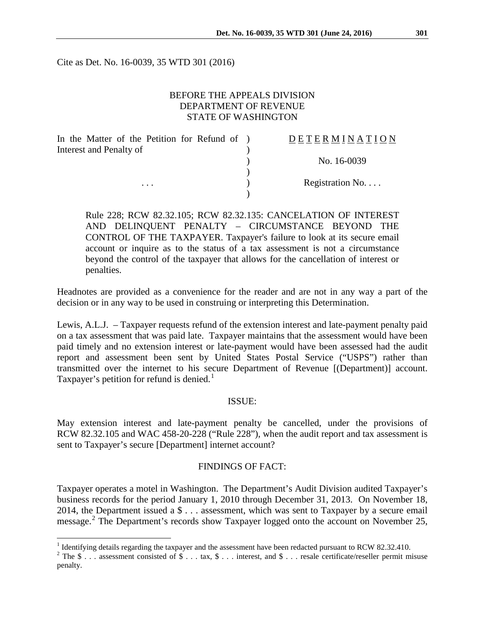Cite as Det. No. 16-0039, 35 WTD 301 (2016)

### BEFORE THE APPEALS DIVISION DEPARTMENT OF REVENUE STATE OF WASHINGTON

| In the Matter of the Petition for Refund of ) | DETERMINATION   |
|-----------------------------------------------|-----------------|
| Interest and Penalty of                       |                 |
|                                               | No. 16-0039     |
|                                               |                 |
| $\cdots$                                      | Registration No |
|                                               |                 |

Rule 228; RCW 82.32.105; RCW 82.32.135: CANCELATION OF INTEREST AND DELINQUENT PENALTY – CIRCUMSTANCE BEYOND THE CONTROL OF THE TAXPAYER. Taxpayer's failure to look at its secure email account or inquire as to the status of a tax assessment is not a circumstance beyond the control of the taxpayer that allows for the cancellation of interest or penalties.

Headnotes are provided as a convenience for the reader and are not in any way a part of the decision or in any way to be used in construing or interpreting this Determination.

Lewis, A.L.J. – Taxpayer requests refund of the extension interest and late-payment penalty paid on a tax assessment that was paid late. Taxpayer maintains that the assessment would have been paid timely and no extension interest or late-payment would have been assessed had the audit report and assessment been sent by United States Postal Service ("USPS") rather than transmitted over the internet to his secure Department of Revenue [(Department)] account. Taxpayer's petition for refund is denied.<sup>[1](#page-0-0)</sup>

#### ISSUE:

May extension interest and late-payment penalty be cancelled, under the provisions of RCW 82.32.105 and WAC 458-20-228 ("Rule 228"), when the audit report and tax assessment is sent to Taxpayer's secure [Department] internet account?

### FINDINGS OF FACT:

Taxpayer operates a motel in Washington. The Department's Audit Division audited Taxpayer's business records for the period January 1, 2010 through December 31, 2013. On November 18, 2014, the Department issued a \$ . . . assessment, which was sent to Taxpayer by a secure email message.<sup>[2](#page-0-1)</sup> The Department's records show Taxpayer logged onto the account on November 25,

<sup>&</sup>lt;sup>1</sup> Identifying details regarding the taxpayer and the assessment have been redacted pursuant to RCW 82.32.410.

<span id="page-0-1"></span><span id="page-0-0"></span><sup>&</sup>lt;sup>2</sup> The \$ . . . assessment consisted of \$ . . . tax, \$ . . . interest, and \$ . . . resale certificate/reseller permit misuse penalty.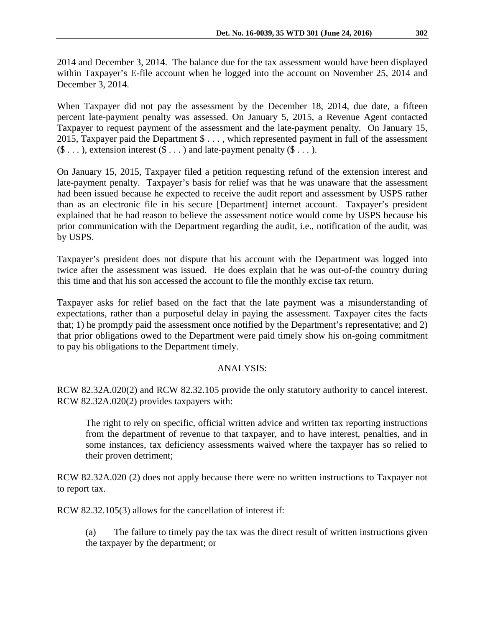2014 and December 3, 2014. The balance due for the tax assessment would have been displayed within Taxpayer's E-file account when he logged into the account on November 25, 2014 and December 3, 2014.

When Taxpayer did not pay the assessment by the December 18, 2014, due date, a fifteen percent late-payment penalty was assessed. On January 5, 2015, a Revenue Agent contacted Taxpayer to request payment of the assessment and the late-payment penalty. On January 15, 2015, Taxpayer paid the Department \$ . . . , which represented payment in full of the assessment  $(\$ \dots)$ , extension interest  $(\$ \dots)$  and late-payment penalty  $(\$ \dots)$ .

On January 15, 2015, Taxpayer filed a petition requesting refund of the extension interest and late-payment penalty. Taxpayer's basis for relief was that he was unaware that the assessment had been issued because he expected to receive the audit report and assessment by USPS rather than as an electronic file in his secure [Department] internet account. Taxpayer's president explained that he had reason to believe the assessment notice would come by USPS because his prior communication with the Department regarding the audit, i.e., notification of the audit, was by USPS.

Taxpayer's president does not dispute that his account with the Department was logged into twice after the assessment was issued. He does explain that he was out-of-the country during this time and that his son accessed the account to file the monthly excise tax return.

Taxpayer asks for relief based on the fact that the late payment was a misunderstanding of expectations, rather than a purposeful delay in paying the assessment. Taxpayer cites the facts that; 1) he promptly paid the assessment once notified by the Department's representative; and 2) that prior obligations owed to the Department were paid timely show his on-going commitment to pay his obligations to the Department timely.

## ANALYSIS:

RCW 82.32A.020(2) and RCW 82.32.105 provide the only statutory authority to cancel interest. RCW 82.32A.020(2) provides taxpayers with:

The right to rely on specific, official written advice and written tax reporting instructions from the department of revenue to that taxpayer, and to have interest, penalties, and in some instances, tax deficiency assessments waived where the taxpayer has so relied to their proven detriment;

RCW 82.32A.020 (2) does not apply because there were no written instructions to Taxpayer not to report tax.

RCW 82.32.105(3) allows for the cancellation of interest if:

(a) The failure to timely pay the tax was the direct result of written instructions given the taxpayer by the department; or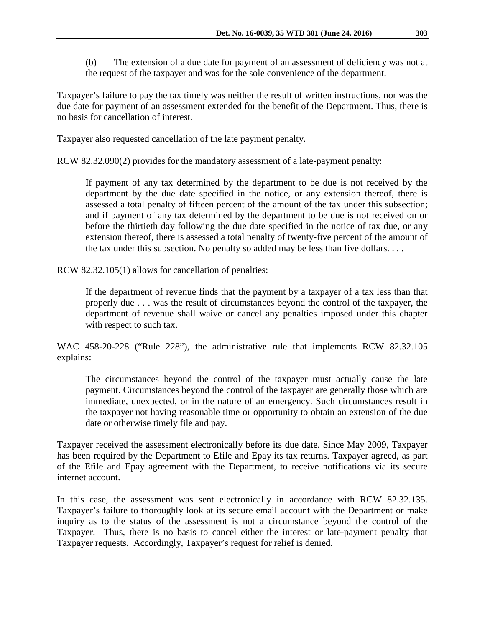(b) The extension of a due date for payment of an assessment of deficiency was not at the request of the taxpayer and was for the sole convenience of the department.

Taxpayer's failure to pay the tax timely was neither the result of written instructions, nor was the due date for payment of an assessment extended for the benefit of the Department. Thus, there is no basis for cancellation of interest.

Taxpayer also requested cancellation of the late payment penalty.

RCW 82.32.090(2) provides for the mandatory assessment of a late-payment penalty:

If payment of any tax determined by the department to be due is not received by the department by the due date specified in the notice, or any extension thereof, there is assessed a total penalty of fifteen percent of the amount of the tax under this subsection; and if payment of any tax determined by the department to be due is not received on or before the thirtieth day following the due date specified in the notice of tax due, or any extension thereof, there is assessed a total penalty of twenty-five percent of the amount of the tax under this subsection. No penalty so added may be less than five dollars. . . .

RCW 82.32.105(1) allows for cancellation of penalties:

If the department of revenue finds that the payment by a taxpayer of a tax less than that properly due . . . was the result of circumstances beyond the control of the taxpayer, the department of revenue shall waive or cancel any penalties imposed under this chapter with respect to such tax.

WAC 458-20-228 ("Rule 228"), the administrative rule that implements RCW 82.32.105 explains:

The circumstances beyond the control of the taxpayer must actually cause the late payment. Circumstances beyond the control of the taxpayer are generally those which are immediate, unexpected, or in the nature of an emergency. Such circumstances result in the taxpayer not having reasonable time or opportunity to obtain an extension of the due date or otherwise timely file and pay.

Taxpayer received the assessment electronically before its due date. Since May 2009, Taxpayer has been required by the Department to Efile and Epay its tax returns. Taxpayer agreed, as part of the Efile and Epay agreement with the Department, to receive notifications via its secure internet account.

In this case, the assessment was sent electronically in accordance with RCW 82.32.135. Taxpayer's failure to thoroughly look at its secure email account with the Department or make inquiry as to the status of the assessment is not a circumstance beyond the control of the Taxpayer. Thus, there is no basis to cancel either the interest or late-payment penalty that Taxpayer requests. Accordingly, Taxpayer's request for relief is denied.